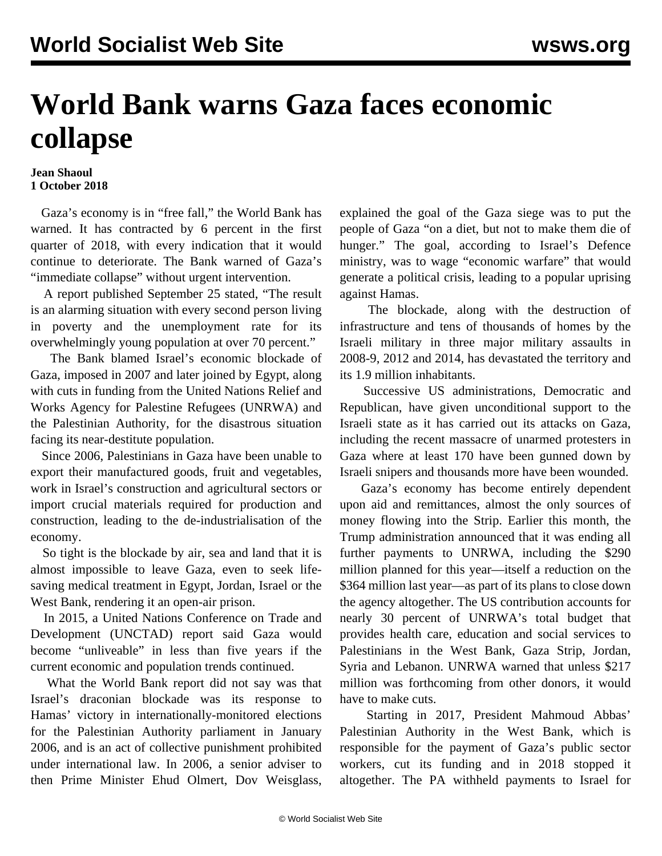## **World Bank warns Gaza faces economic collapse**

## **Jean Shaoul 1 October 2018**

 Gaza's economy is in "free fall," the World Bank has warned. It has contracted by 6 percent in the first quarter of 2018, with every indication that it would continue to deteriorate. The Bank warned of Gaza's "immediate collapse" without urgent intervention.

 A report published September 25 stated, "The result is an alarming situation with every second person living in poverty and the unemployment rate for its overwhelmingly young population at over 70 percent."

 The Bank blamed Israel's economic blockade of Gaza, imposed in 2007 and later joined by Egypt, along with cuts in funding from the United Nations Relief and Works Agency for Palestine Refugees (UNRWA) and the Palestinian Authority, for the disastrous situation facing its near-destitute population.

 Since 2006, Palestinians in Gaza have been unable to export their manufactured goods, fruit and vegetables, work in Israel's construction and agricultural sectors or import crucial materials required for production and construction, leading to the de-industrialisation of the economy.

 So tight is the blockade by air, sea and land that it is almost impossible to leave Gaza, even to seek lifesaving medical treatment in Egypt, Jordan, Israel or the West Bank, rendering it an open-air prison.

 In 2015, a United Nations Conference on Trade and Development (UNCTAD) report said Gaza would become "unliveable" in less than five years if the current economic and population trends continued.

 What the World Bank report did not say was that Israel's draconian blockade was its response to Hamas' victory in internationally-monitored elections for the Palestinian Authority parliament in January 2006, and is an act of collective punishment prohibited under international law. In 2006, a senior adviser to then Prime Minister Ehud Olmert, Dov Weisglass,

explained the goal of the Gaza siege was to put the people of Gaza "on a diet, but not to make them die of hunger." The goal, according to Israel's Defence ministry, was to wage "economic warfare" that would generate a political crisis, leading to a popular uprising against Hamas.

 The blockade, along with the destruction of infrastructure and tens of thousands of homes by the Israeli military in three major military assaults in 2008-9, 2012 and 2014, has devastated the territory and its 1.9 million inhabitants.

 Successive US administrations, Democratic and Republican, have given unconditional support to the Israeli state as it has carried out its attacks on Gaza, including the recent massacre of unarmed protesters in Gaza where at least 170 have been gunned down by Israeli snipers and thousands more have been wounded.

 Gaza's economy has become entirely dependent upon aid and remittances, almost the only sources of money flowing into the Strip. Earlier this month, the Trump administration announced that it was ending all further payments to UNRWA, including the \$290 million planned for this year—itself a reduction on the \$364 million last year—as part of its plans to close down the agency altogether. The US contribution accounts for nearly 30 percent of UNRWA's total budget that provides health care, education and social services to Palestinians in the West Bank, Gaza Strip, Jordan, Syria and Lebanon. UNRWA warned that unless \$217 million was forthcoming from other donors, it would have to make cuts.

 Starting in 2017, President Mahmoud Abbas' Palestinian Authority in the West Bank, which is responsible for the payment of Gaza's public sector workers, cut its funding and in 2018 stopped it altogether. The PA withheld payments to Israel for